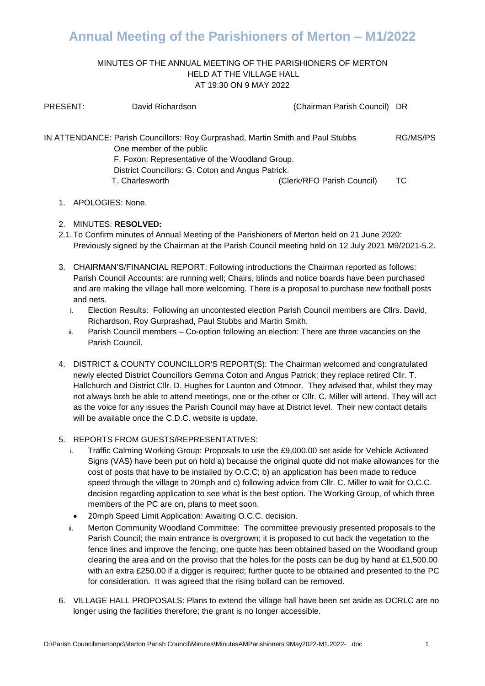## **Annual Meeting of the Parishioners of Merton – M1/2022**

#### MINUTES OF THE ANNUAL MEETING OF THE PARISHIONERS OF MERTON HELD AT THE VILLAGE HALL AT 19:30 ON 9 MAY 2022

| PRESENT:                                                                        | David Richardson                                                                                                                 | (Chairman Parish Council) DR |    |
|---------------------------------------------------------------------------------|----------------------------------------------------------------------------------------------------------------------------------|------------------------------|----|
| IN ATTENDANCE: Parish Councillors: Roy Gurprashad, Martin Smith and Paul Stubbs |                                                                                                                                  | RG/MS/PS                     |    |
|                                                                                 | One member of the public<br>F. Foxon: Representative of the Woodland Group.<br>District Councillors: G. Coton and Angus Patrick. |                              |    |
|                                                                                 |                                                                                                                                  |                              |    |
|                                                                                 |                                                                                                                                  |                              |    |
|                                                                                 | T. Charlesworth                                                                                                                  | (Clerk/RFO Parish Council)   | ТC |

1. APOLOGIES: None.

### 2. MINUTES: **RESOLVED:**

- 2.1.To Confirm minutes of Annual Meeting of the Parishioners of Merton held on 21 June 2020: Previously signed by the Chairman at the Parish Council meeting held on 12 July 2021 M9/2021-5.2.
- 3. CHAIRMAN'S/FINANCIAL REPORT: Following introductions the Chairman reported as follows: Parish Council Accounts: are running well; Chairs, blinds and notice boards have been purchased and are making the village hall more welcoming. There is a proposal to purchase new football posts and nets.
	- i. Election Results: Following an uncontested election Parish Council members are Cllrs. David, Richardson, Roy Gurprashad, Paul Stubbs and Martin Smith.
	- ii. Parish Council members Co-option following an election: There are three vacancies on the Parish Council.
- 4. DISTRICT & COUNTY COUNCILLOR'S REPORT(S): The Chairman welcomed and congratulated newly elected District Councillors Gemma Coton and Angus Patrick; they replace retired Cllr. T. Hallchurch and District Cllr. D. Hughes for Launton and Otmoor. They advised that, whilst they may not always both be able to attend meetings, one or the other or Cllr. C. Miller will attend. They will act as the voice for any issues the Parish Council may have at District level. Their new contact details will be available once the C.D.C. website is update.

### 5. REPORTS FROM GUESTS/REPRESENTATIVES:

- i. Traffic Calming Working Group: Proposals to use the £9,000.00 set aside for Vehicle Activated Signs (VAS) have been put on hold a) because the original quote did not make allowances for the cost of posts that have to be installed by O.C.C; b) an application has been made to reduce speed through the village to 20mph and c) following advice from Cllr. C. Miller to wait for O.C.C. decision regarding application to see what is the best option. The Working Group, of which three members of the PC are on, plans to meet soon.
- 20mph Speed Limit Application: Awaiting O.C.C. decision.
- ii. Merton Community Woodland Committee: The committee previously presented proposals to the Parish Council; the main entrance is overgrown; it is proposed to cut back the vegetation to the fence lines and improve the fencing; one quote has been obtained based on the Woodland group clearing the area and on the proviso that the holes for the posts can be dug by hand at  $£1,500.00$ with an extra £250.00 if a digger is required; further quote to be obtained and presented to the PC for consideration. It was agreed that the rising bollard can be removed.
- 6. VILLAGE HALL PROPOSALS: Plans to extend the village hall have been set aside as OCRLC are no longer using the facilities therefore; the grant is no longer accessible.